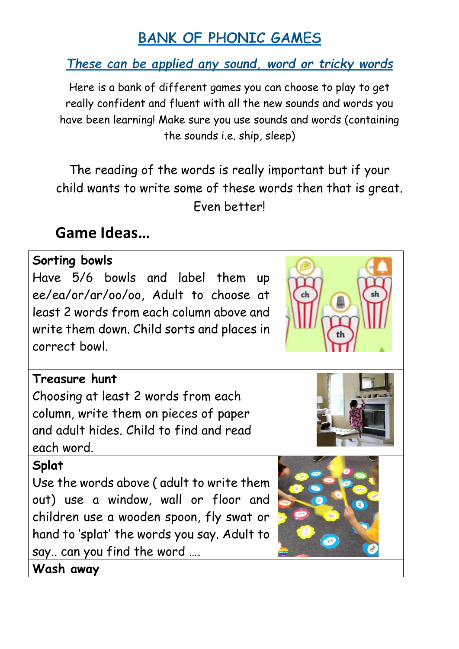## **BANK OF PHONIC GAMES**

These can be applied any sound, word or tricky words

Here is a bank of different games you can choose to play to get really confident and fluent with all the new sounds and words you have been learning! Make sure you use sounds and words (containing the sounds i.e. ship, sleep)

The reading of the words is really important but if your child wants to write some of these words then that is great. Even better!

## **Game Ideas…**

| Sorting bowls<br>Have 5/6 bowls and label them<br>$\mathsf{u}\mathsf{p}$<br>ee/ea/or/ar/oo/oo, Adult to choose at<br>least 2 words from each column above and<br>write them down. Child sorts and places in<br>correct bowl. |  |
|------------------------------------------------------------------------------------------------------------------------------------------------------------------------------------------------------------------------------|--|
| Treasure hunt<br>Choosing at least 2 words from each<br>column, write them on pieces of paper<br>and adult hides. Child to find and read<br>each word.                                                                       |  |
| Splat<br>Use the words above (adult to write them<br>out) use a window, wall or floor and<br>children use a wooden spoon, fly swat or<br>hand to 'splat' the words you say. Adult to<br>say can you find the word            |  |
| Wash away                                                                                                                                                                                                                    |  |